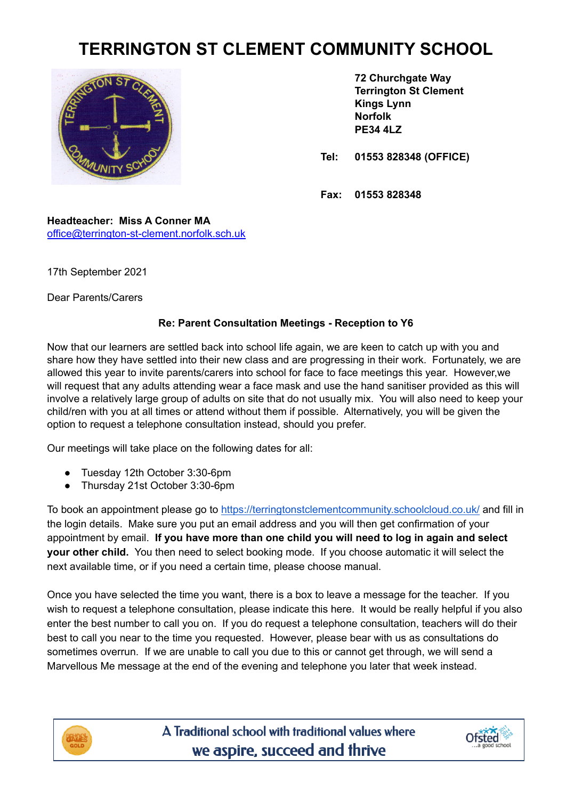## **TERRINGTON ST CLEMENT COMMUNITY SCHOOL**



**72 Churchgate Way Terrington St Clement Kings Lynn Norfolk PE34 4LZ**

**Tel: 01553 828348 (OFFICE)**

**Fax: 01553 828348**

**Headteacher: Miss A Conner MA** [office@terrington-st-clement.norfolk.sch.uk](mailto:office@terrington-st-clement.norfolk.sch.uk)

17th September 2021

Dear Parents/Carers

## **Re: Parent Consultation Meetings - Reception to Y6**

Now that our learners are settled back into school life again, we are keen to catch up with you and share how they have settled into their new class and are progressing in their work. Fortunately, we are allowed this year to invite parents/carers into school for face to face meetings this year. However,we will request that any adults attending wear a face mask and use the hand sanitiser provided as this will involve a relatively large group of adults on site that do not usually mix. You will also need to keep your child/ren with you at all times or attend without them if possible. Alternatively, you will be given the option to request a telephone consultation instead, should you prefer.

Our meetings will take place on the following dates for all:

- Tuesday 12th October 3:30-6pm
- Thursday 21st October 3:30-6pm

To book an appointment please go to <https://terringtonstclementcommunity.schoolcloud.co.uk/> and fill in the login details. Make sure you put an email address and you will then get confirmation of your appointment by email. **If you have more than one child you will need to log in again and select your other child.** You then need to select booking mode. If you choose automatic it will select the next available time, or if you need a certain time, please choose manual.

Once you have selected the time you want, there is a box to leave a message for the teacher. If you wish to request a telephone consultation, please indicate this here. It would be really helpful if you also enter the best number to call you on. If you do request a telephone consultation, teachers will do their best to call you near to the time you requested. However, please bear with us as consultations do sometimes overrun. If we are unable to call you due to this or cannot get through, we will send a Marvellous Me message at the end of the evening and telephone you later that week instead.



A Traditional school with traditional values where we aspire, succeed and thrive